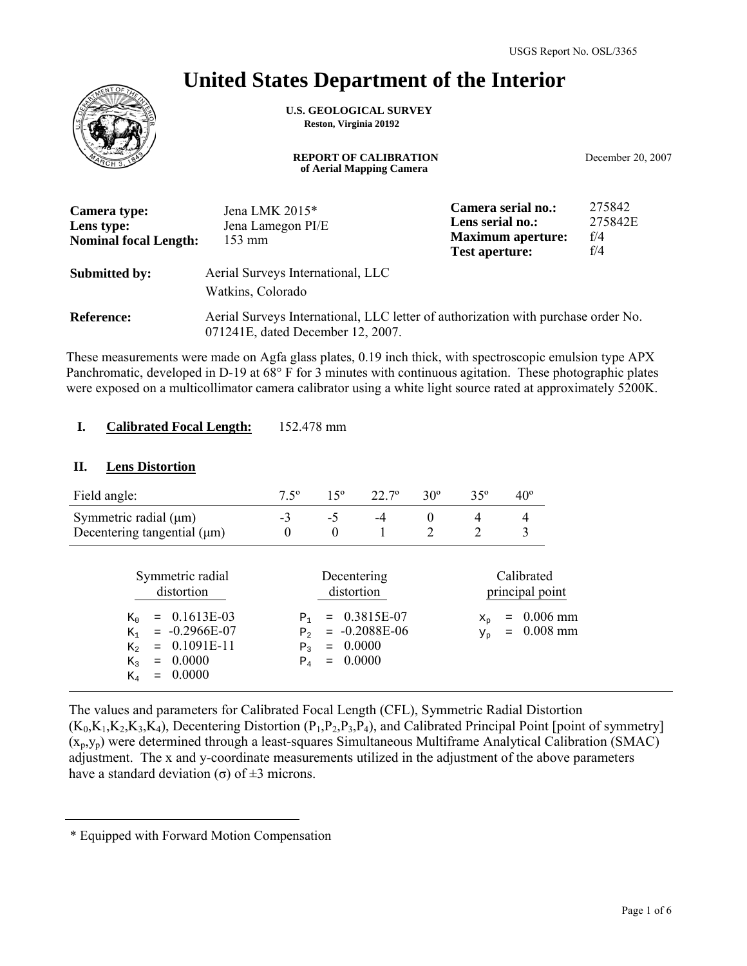# **United States Department of the Interior**



**U.S. GEOLOGICAL SURVEY Reston, Virginia 20192**

**REPORT OF CALIBRATION of Aerial Mapping Camera**

December 20, 2007

| Camera type:<br>Lens type:<br><b>Nominal focal Length:</b> | Jena LMK 2015*<br>Jena Lamegon PI/E<br>$153 \text{ mm}$                                                                | Camera serial no.:<br>Lens serial no.:<br><b>Maximum aperture:</b><br><b>Test aperture:</b> | 275842<br>275842E<br>f/4<br>f/4 |
|------------------------------------------------------------|------------------------------------------------------------------------------------------------------------------------|---------------------------------------------------------------------------------------------|---------------------------------|
| <b>Submitted by:</b>                                       | Aerial Surveys International, LLC<br>Watkins, Colorado                                                                 |                                                                                             |                                 |
| <b>Reference:</b>                                          | Aerial Surveys International, LLC letter of authorization with purchase order No.<br>071241E, dated December 12, 2007. |                                                                                             |                                 |

These measurements were made on Agfa glass plates, 0.19 inch thick, with spectroscopic emulsion type APX Panchromatic, developed in D-19 at 68° F for 3 minutes with continuous agitation. These photographic plates were exposed on a multicollimator camera calibrator using a white light source rated at approximately 5200K.

#### **Calibrated Focal Length:** 152.478 mm **I.**

### **II. Lens Distortion**

| Field angle:                                                                                                                                                                   | $7.5^\circ$<br>$15^{\circ}$<br>$22.7^{\circ}$<br>$30^\circ$ |                                                                    |                               |                                    | $35^\circ$                | $40^{\circ}$                                                            |
|--------------------------------------------------------------------------------------------------------------------------------------------------------------------------------|-------------------------------------------------------------|--------------------------------------------------------------------|-------------------------------|------------------------------------|---------------------------|-------------------------------------------------------------------------|
| Symmetric radial $(\mu m)$<br>Decentering tangential $(\mu m)$                                                                                                                 | $-3$<br>$\theta$                                            | $-5$<br>$\theta$                                                   | $-4$                          | $\boldsymbol{0}$<br>$\mathfrak{D}$ | 4<br>$\mathfrak{D}$       | 4<br>3                                                                  |
| Symmetric radial<br>distortion<br>$= 0.1613E-03$<br>$K_{0}$<br>$= -0.2966E-07$<br>$K_{1}$<br>$0.1091E-11$<br>$K_{2}$<br>$=$<br>0.0000<br>$K_{2}$<br>$=$<br>0.0000<br>$\rm K_4$ | $P_1$<br>P <sub>2</sub><br>P <sub>3</sub><br>$P_4$          | Decentering<br>distortion<br>$=$<br>0.0000<br>$=$<br>0.0000<br>$=$ | 0.3815E-07<br>$= -0.2088E-06$ |                                    | $X_{D}$<br>У <sub>p</sub> | Calibrated<br>principal point<br>$0.006$ mm<br>$=$<br>$0.008$ mm<br>$=$ |

The values and parameters for Calibrated Focal Length (CFL), Symmetric Radial Distortion  $(K_0,K_1,K_2,K_3,K_4)$ , Decentering Distortion  $(P_1,P_2,P_3,P_4)$ , and Calibrated Principal Point [point of symmetry] (xp,yp) were determined through a least-squares Simultaneous Multiframe Analytical Calibration (SMAC) adjustment. The x and y-coordinate measurements utilized in the adjustment of the above parameters have a standard deviation (σ) of  $\pm$ 3 microns.

<sup>\*</sup> Equipped with Forward Motion Compensation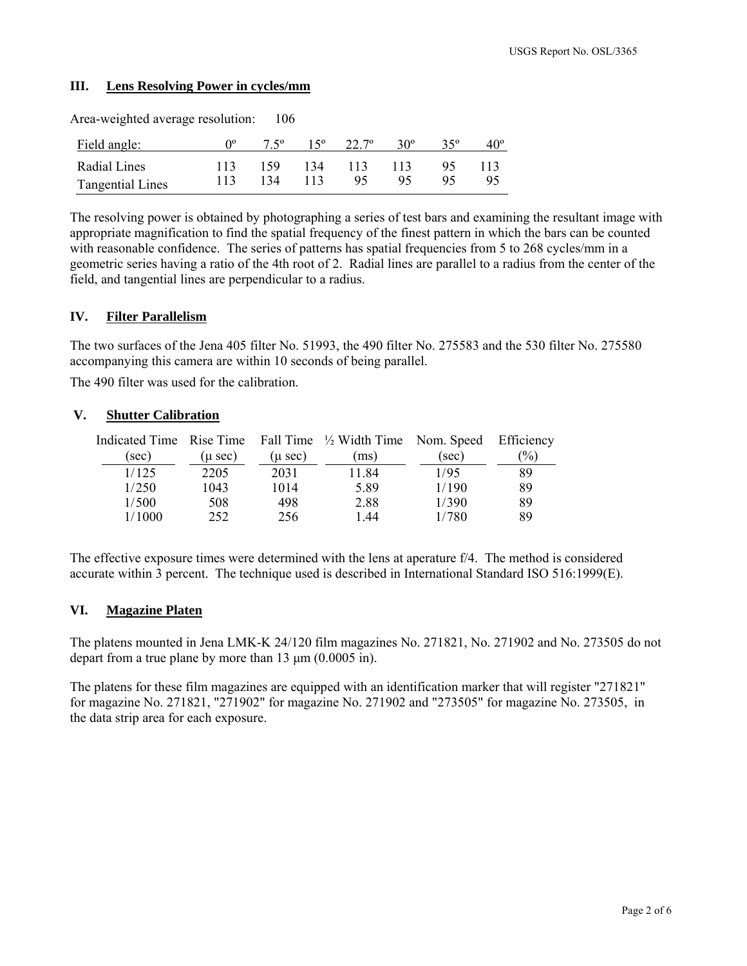### **III. Lens Resolving Power in cycles/mm**

| Area-weighted average resolution: |     | 106  |     |              |            |    |    |
|-----------------------------------|-----|------|-----|--------------|------------|----|----|
| Field angle:                      |     |      |     | $22.7^\circ$ | $30^\circ$ |    |    |
| Radial Lines                      | 113 | 159. | 134 | 113          | 113        | 95 |    |
| <b>Tangential Lines</b>           | 113 | 134  | 113 | 95           | 95         |    | 95 |

The resolving power is obtained by photographing a series of test bars and examining the resultant image with appropriate magnification to find the spatial frequency of the finest pattern in which the bars can be counted with reasonable confidence. The series of patterns has spatial frequencies from 5 to 268 cycles/mm in a geometric series having a ratio of the 4th root of 2. Radial lines are parallel to a radius from the center of the field, and tangential lines are perpendicular to a radius.

### **IV. Filter Parallelism**

The two surfaces of the Jena 405 filter No. 51993, the 490 filter No. 275583 and the 530 filter No. 275580 accompanying this camera are within 10 seconds of being parallel.

The 490 filter was used for the calibration.

### **V. Shutter Calibration**

|        |              |              | Indicated Time Rise Time Fall Time $\frac{1}{2}$ Width Time Nom. Speed Efficiency |       |               |
|--------|--------------|--------------|-----------------------------------------------------------------------------------|-------|---------------|
| (sec)  | $(\mu \sec)$ | $(\mu \sec)$ | (ms)                                                                              | (sec) | $\frac{1}{2}$ |
| 1/125  | 2205         | 2031         | 11.84                                                                             | 1/95  | 89            |
| 1/250  | 1043         | 1014         | 5.89                                                                              | 1/190 | 89            |
| 1/500  | 508          | 498          | 2.88                                                                              | 1/390 | 89            |
| 1/1000 | 252          | 256          | 1.44                                                                              | 1/780 | 89            |

The effective exposure times were determined with the lens at aperature f/4. The method is considered accurate within 3 percent. The technique used is described in International Standard ISO 516:1999(E).

### **VI. Magazine Platen**

The platens mounted in Jena LMK-K 24/120 film magazines No. 271821, No. 271902 and No. 273505 do not depart from a true plane by more than  $13 \mu m (0.0005 \text{ in}).$ 

The platens for these film magazines are equipped with an identification marker that will register "271821" for magazine No. 271821, "271902" for magazine No. 271902 and "273505" for magazine No. 273505, in the data strip area for each exposure.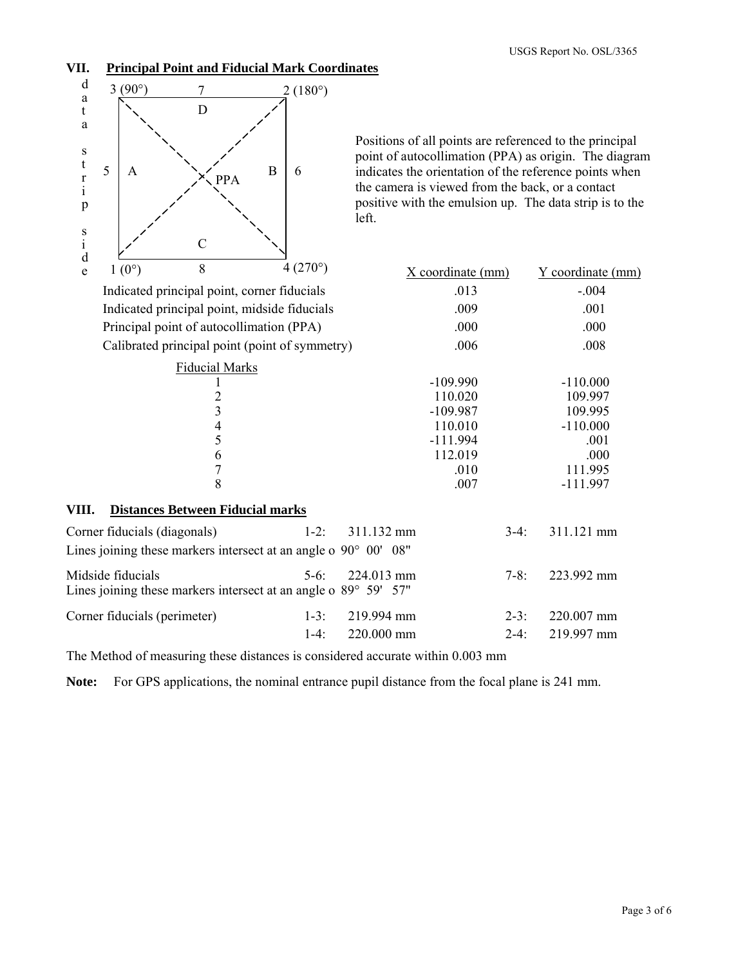### **VII. Principal Point and Fiducial Mark Coordinates**



Positions of all points are referenced to the principal point of autocollimation (PPA) as origin. The diagram indicates the orientation of the reference points when the camera is viewed from the back, or a contact positive with the emulsion up. The data strip is to the left.

|       |                              |                                         |                                                                                     |            | X coordinate (mm) |          | Y coordinate (mm) |  |
|-------|------------------------------|-----------------------------------------|-------------------------------------------------------------------------------------|------------|-------------------|----------|-------------------|--|
|       |                              |                                         | Indicated principal point, corner fiducials                                         |            | .013              |          | $-.004$           |  |
|       |                              |                                         | Indicated principal point, midside fiducials                                        |            | .009              |          | .001              |  |
|       |                              |                                         | Principal point of autocollimation (PPA)                                            |            | .000              |          | .000              |  |
|       |                              |                                         | Calibrated principal point (point of symmetry)                                      |            | .006              |          | .008              |  |
|       |                              | <b>Fiducial Marks</b>                   |                                                                                     |            |                   |          |                   |  |
|       |                              |                                         |                                                                                     |            | $-109.990$        |          | $-110.000$        |  |
|       |                              | $\overline{c}$                          |                                                                                     |            | 110.020           |          | 109.997           |  |
|       |                              | 3                                       |                                                                                     |            | $-109.987$        |          | 109.995           |  |
|       |                              | 4                                       |                                                                                     |            | 110.010           |          | $-110.000$        |  |
|       |                              | 5                                       |                                                                                     |            | $-111.994$        |          | .001              |  |
|       |                              | 6                                       |                                                                                     |            | 112.019           |          | .000              |  |
|       |                              | $\overline{7}$                          |                                                                                     |            | .010              |          | 111.995           |  |
|       |                              | 8                                       |                                                                                     |            | .007              |          | $-111.997$        |  |
| VIII. |                              | <b>Distances Between Fiducial marks</b> |                                                                                     |            |                   |          |                   |  |
|       | Corner fiducials (diagonals) |                                         | $1-2$ :                                                                             | 311.132 mm |                   | $3-4$ :  | 311.121 mm        |  |
|       |                              |                                         | Lines joining these markers intersect at an angle o $90^{\circ}$ 00' 08"            |            |                   |          |                   |  |
|       | Midside fiducials            |                                         | $5-6$ :<br>Lines joining these markers intersect at an angle o $89^{\circ}$ 59' 57" | 224.013 mm |                   | $7 - 8:$ | 223.992 mm        |  |
|       | Corner fiducials (perimeter) |                                         | $1-3:$                                                                              | 219.994 mm |                   | $2 - 3:$ | 220.007 mm        |  |
|       |                              |                                         | $1-4:$                                                                              | 220.000 mm |                   | $2-4:$   | 219.997 mm        |  |
|       |                              |                                         |                                                                                     |            |                   |          |                   |  |

The Method of measuring these distances is considered accurate within 0.003 mm

**Note:** For GPS applications, the nominal entrance pupil distance from the focal plane is 241 mm.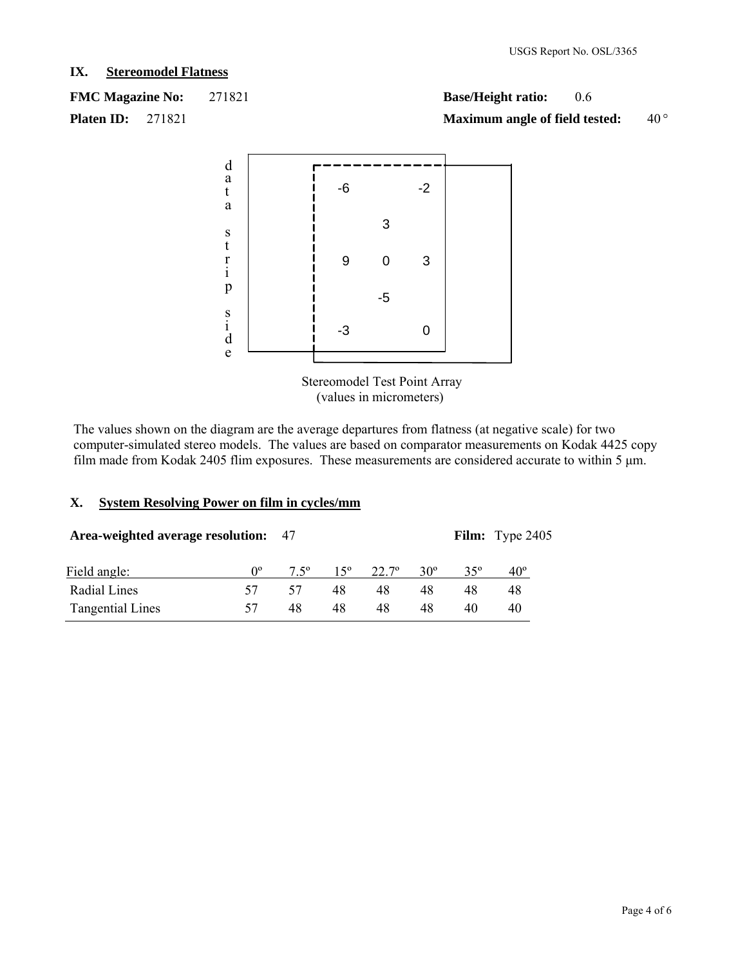### **Base/Height ratio:** 0.6 **Maximum angle of field tested:**

 $40^{\circ}$ 



 Stereomodel Test Point Array (values in micrometers)

The values shown on the diagram are the average departures from flatness (at negative scale) for two computer-simulated stereo models. The values are based on comparator measurements on Kodak 4425 copy film made from Kodak 2405 flim exposures. These measurements are considered accurate to within 5 μm.

### **X. System Resolving Power on film in cycles/mm**

| Area-weighted average resolution: 47 |    |             |            |       |            |     | Film: Type $2405$ |
|--------------------------------------|----|-------------|------------|-------|------------|-----|-------------------|
| Field angle:                         |    | $7.5^\circ$ | $15^\circ$ | 22.7° | $30^\circ$ | 35° | $40^\circ$        |
| Radial Lines                         | 57 | 57          | 48         | 48    | 48         | 48  | 48                |
| <b>Tangential Lines</b>              | 57 | 48          | 48         | 48    | 48         | 40  | 40                |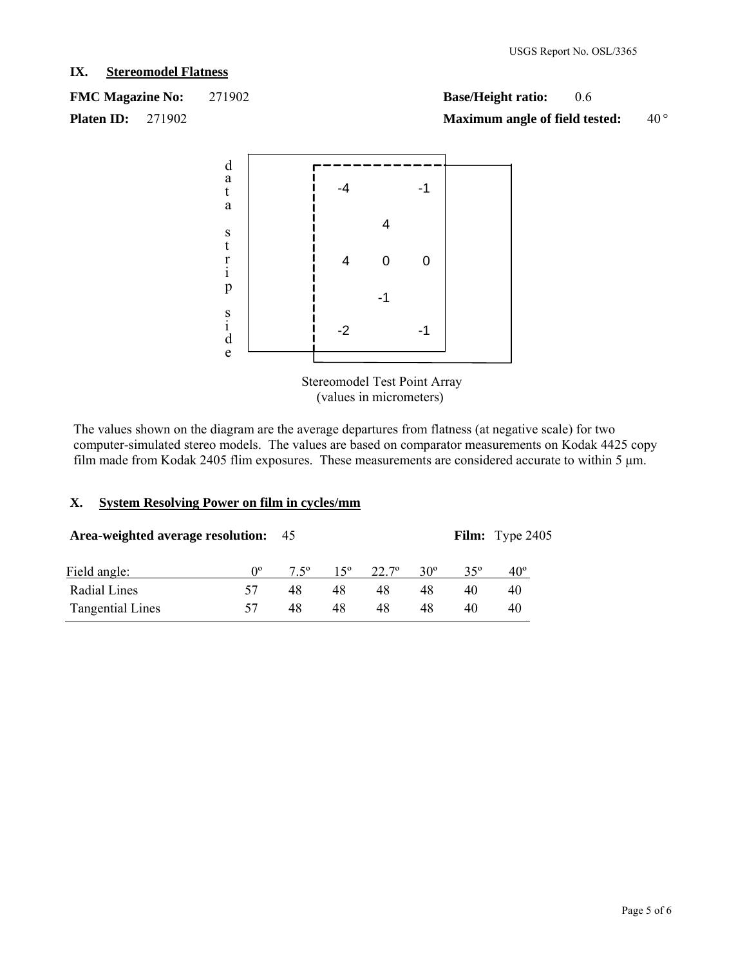### **IX. Stereomodel Flatness**

**Platen ID:** 271902 **FMC Magazine No:** 271902

#### **Base/Height ratio:** 0.6 **Maximum angle of field tested:**  $40^{\circ}$



 Stereomodel Test Point Array (values in micrometers)

The values shown on the diagram are the average departures from flatness (at negative scale) for two computer-simulated stereo models. The values are based on comparator measurements on Kodak 4425 copy film made from Kodak 2405 flim exposures. These measurements are considered accurate to within 5 μm.

### **X. System Resolving Power on film in cycles/mm**

| Area-weighted average resolution: 45 |    |               |            |       |            |    | Film: Type $2405$ |
|--------------------------------------|----|---------------|------------|-------|------------|----|-------------------|
| Field angle:                         |    | $7.5^{\circ}$ | $15^\circ$ | 22.7° | $30^\circ$ |    | $40^\circ$        |
| Radial Lines                         | 57 | 48            | 48         | 48    | 48         | 40 | 40                |
| <b>Tangential Lines</b>              | 57 | 48            | 48         | 48    | 48         | 40 | 40                |